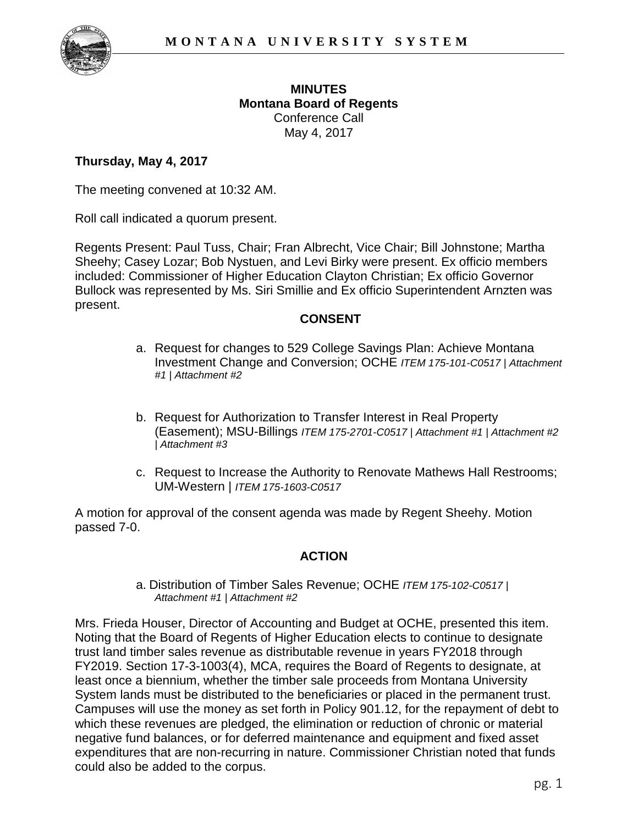

## **MINUTES Montana Board of Regents** Conference Call May 4, 2017

## **Thursday, May 4, 2017**

The meeting convened at 10:32 AM.

Roll call indicated a quorum present.

Regents Present: Paul Tuss, Chair; Fran Albrecht, Vice Chair; Bill Johnstone; Martha Sheehy; Casey Lozar; Bob Nystuen, and Levi Birky were present. Ex officio members included: Commissioner of Higher Education Clayton Christian; Ex officio Governor Bullock was represented by Ms. Siri Smillie and Ex officio Superintendent Arnzten was present.

### **CONSENT**

- a. Request for changes to 529 College Savings Plan: Achieve Montana Investment Change and Conversion; OCHE *ITEM 175-101-C0517 | Attachment #1 | Attachment #2*
- b. Request for Authorization to Transfer Interest in Real Property (Easement); MSU-Billings *ITEM 175-2701-C0517 | Attachment #1 | Attachment #2 | Attachment #3*
- c. Request to Increase the Authority to Renovate Mathews Hall Restrooms; UM-Western | *ITEM 175-1603-C0517*

A motion for approval of the consent agenda was made by Regent Sheehy. Motion passed 7-0.

### **ACTION**

a. Distribution of Timber Sales Revenue; OCHE *ITEM 175-102-C0517 | Attachment #1 | Attachment #2*

Mrs. Frieda Houser, Director of Accounting and Budget at OCHE, presented this item. Noting that the Board of Regents of Higher Education elects to continue to designate trust land timber sales revenue as distributable revenue in years FY2018 through FY2019. Section 17-3-1003(4), MCA, requires the Board of Regents to designate, at least once a biennium, whether the timber sale proceeds from Montana University System lands must be distributed to the beneficiaries or placed in the permanent trust. Campuses will use the money as set forth in Policy 901.12, for the repayment of debt to which these revenues are pledged, the elimination or reduction of chronic or material negative fund balances, or for deferred maintenance and equipment and fixed asset expenditures that are non-recurring in nature. Commissioner Christian noted that funds could also be added to the corpus.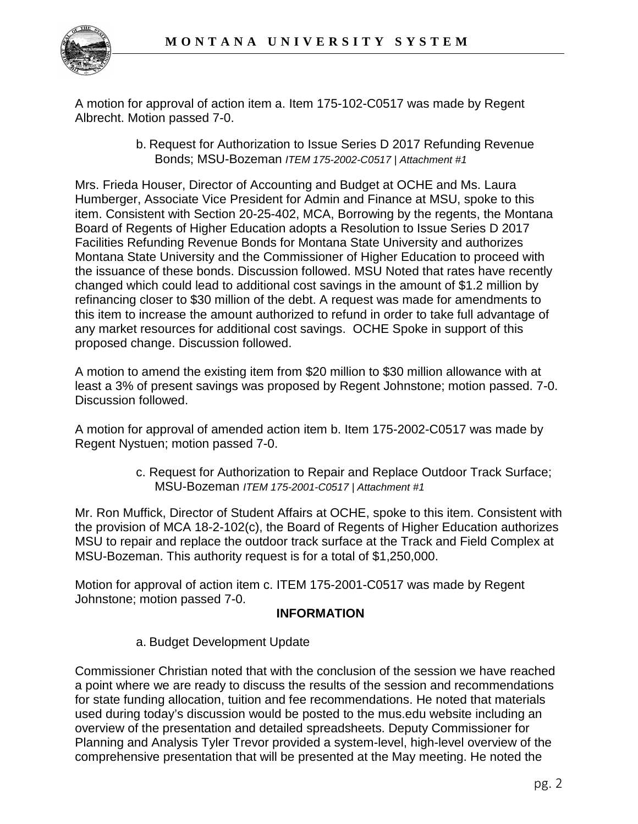

A motion for approval of action item a. Item 175-102-C0517 was made by Regent Albrecht. Motion passed 7-0.

> b. Request for Authorization to Issue Series D 2017 Refunding Revenue Bonds; MSU-Bozeman *ITEM 175-2002-C0517 | Attachment #1*

Mrs. Frieda Houser, Director of Accounting and Budget at OCHE and Ms. Laura Humberger, Associate Vice President for Admin and Finance at MSU, spoke to this item. Consistent with Section 20-25-402, MCA, Borrowing by the regents, the Montana Board of Regents of Higher Education adopts a Resolution to Issue Series D 2017 Facilities Refunding Revenue Bonds for Montana State University and authorizes Montana State University and the Commissioner of Higher Education to proceed with the issuance of these bonds. Discussion followed. MSU Noted that rates have recently changed which could lead to additional cost savings in the amount of \$1.2 million by refinancing closer to \$30 million of the debt. A request was made for amendments to this item to increase the amount authorized to refund in order to take full advantage of any market resources for additional cost savings. OCHE Spoke in support of this proposed change. Discussion followed.

A motion to amend the existing item from \$20 million to \$30 million allowance with at least a 3% of present savings was proposed by Regent Johnstone; motion passed. 7-0. Discussion followed.

A motion for approval of amended action item b. Item 175-2002-C0517 was made by Regent Nystuen; motion passed 7-0.

> c. Request for Authorization to Repair and Replace Outdoor Track Surface; MSU-Bozeman *ITEM 175-2001-C0517 | Attachment #1*

Mr. Ron Muffick, Director of Student Affairs at OCHE, spoke to this item. Consistent with the provision of MCA 18-2-102(c), the Board of Regents of Higher Education authorizes MSU to repair and replace the outdoor track surface at the Track and Field Complex at MSU-Bozeman. This authority request is for a total of \$1,250,000.

Motion for approval of action item c. ITEM 175-2001-C0517 was made by Regent Johnstone; motion passed 7-0.

## **INFORMATION**

a. Budget Development Update

Commissioner Christian noted that with the conclusion of the session we have reached a point where we are ready to discuss the results of the session and recommendations for state funding allocation, tuition and fee recommendations. He noted that materials used during today's discussion would be posted to the mus.edu website including an overview of the presentation and detailed spreadsheets. Deputy Commissioner for Planning and Analysis Tyler Trevor provided a system-level, high-level overview of the comprehensive presentation that will be presented at the May meeting. He noted the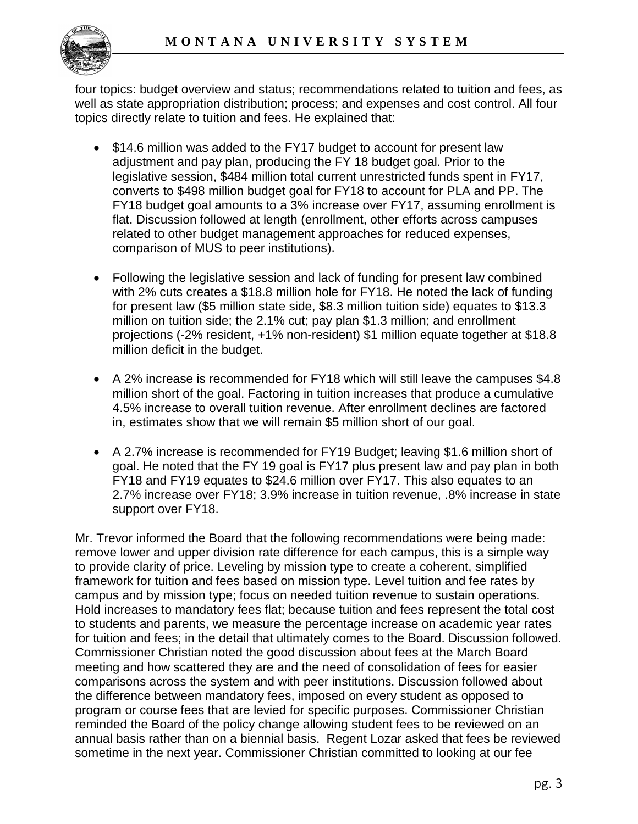

four topics: budget overview and status; recommendations related to tuition and fees, as well as state appropriation distribution; process; and expenses and cost control. All four topics directly relate to tuition and fees. He explained that:

- \$14.6 million was added to the FY17 budget to account for present law adjustment and pay plan, producing the FY 18 budget goal. Prior to the legislative session, \$484 million total current unrestricted funds spent in FY17, converts to \$498 million budget goal for FY18 to account for PLA and PP. The FY18 budget goal amounts to a 3% increase over FY17, assuming enrollment is flat. Discussion followed at length (enrollment, other efforts across campuses related to other budget management approaches for reduced expenses, comparison of MUS to peer institutions).
- Following the legislative session and lack of funding for present law combined with 2% cuts creates a \$18.8 million hole for FY18. He noted the lack of funding for present law (\$5 million state side, \$8.3 million tuition side) equates to \$13.3 million on tuition side; the 2.1% cut; pay plan \$1.3 million; and enrollment projections (-2% resident, +1% non-resident) \$1 million equate together at \$18.8 million deficit in the budget.
- A 2% increase is recommended for FY18 which will still leave the campuses \$4.8 million short of the goal. Factoring in tuition increases that produce a cumulative 4.5% increase to overall tuition revenue. After enrollment declines are factored in, estimates show that we will remain \$5 million short of our goal.
- A 2.7% increase is recommended for FY19 Budget; leaving \$1.6 million short of goal. He noted that the FY 19 goal is FY17 plus present law and pay plan in both FY18 and FY19 equates to \$24.6 million over FY17. This also equates to an 2.7% increase over FY18; 3.9% increase in tuition revenue, .8% increase in state support over FY18.

Mr. Trevor informed the Board that the following recommendations were being made: remove lower and upper division rate difference for each campus, this is a simple way to provide clarity of price. Leveling by mission type to create a coherent, simplified framework for tuition and fees based on mission type. Level tuition and fee rates by campus and by mission type; focus on needed tuition revenue to sustain operations. Hold increases to mandatory fees flat; because tuition and fees represent the total cost to students and parents, we measure the percentage increase on academic year rates for tuition and fees; in the detail that ultimately comes to the Board. Discussion followed. Commissioner Christian noted the good discussion about fees at the March Board meeting and how scattered they are and the need of consolidation of fees for easier comparisons across the system and with peer institutions. Discussion followed about the difference between mandatory fees, imposed on every student as opposed to program or course fees that are levied for specific purposes. Commissioner Christian reminded the Board of the policy change allowing student fees to be reviewed on an annual basis rather than on a biennial basis. Regent Lozar asked that fees be reviewed sometime in the next year. Commissioner Christian committed to looking at our fee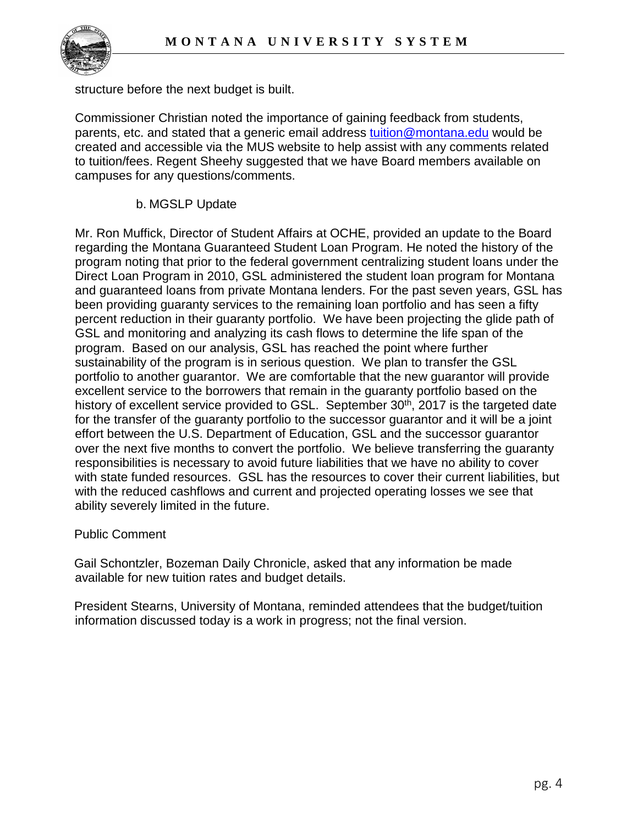

structure before the next budget is built.

Commissioner Christian noted the importance of gaining feedback from students, parents, etc. and stated that a generic email address [tuition@montana.edu](mailto:tuition@montana.edu) would be created and accessible via the MUS website to help assist with any comments related to tuition/fees. Regent Sheehy suggested that we have Board members available on campuses for any questions/comments.

### b. MGSLP Update

Mr. Ron Muffick, Director of Student Affairs at OCHE, provided an update to the Board regarding the Montana Guaranteed Student Loan Program. He noted the history of the program noting that prior to the federal government centralizing student loans under the Direct Loan Program in 2010, GSL administered the student loan program for Montana and guaranteed loans from private Montana lenders. For the past seven years, GSL has been providing guaranty services to the remaining loan portfolio and has seen a fifty percent reduction in their guaranty portfolio. We have been projecting the glide path of GSL and monitoring and analyzing its cash flows to determine the life span of the program. Based on our analysis, GSL has reached the point where further sustainability of the program is in serious question. We plan to transfer the GSL portfolio to another guarantor. We are comfortable that the new guarantor will provide excellent service to the borrowers that remain in the guaranty portfolio based on the history of excellent service provided to GSL. September 30<sup>th</sup>, 2017 is the targeted date for the transfer of the guaranty portfolio to the successor guarantor and it will be a joint effort between the U.S. Department of Education, GSL and the successor guarantor over the next five months to convert the portfolio. We believe transferring the guaranty responsibilities is necessary to avoid future liabilities that we have no ability to cover with state funded resources. GSL has the resources to cover their current liabilities, but with the reduced cashflows and current and projected operating losses we see that ability severely limited in the future.

#### Public Comment

Gail Schontzler, Bozeman Daily Chronicle, asked that any information be made available for new tuition rates and budget details.

President Stearns, University of Montana, reminded attendees that the budget/tuition information discussed today is a work in progress; not the final version.